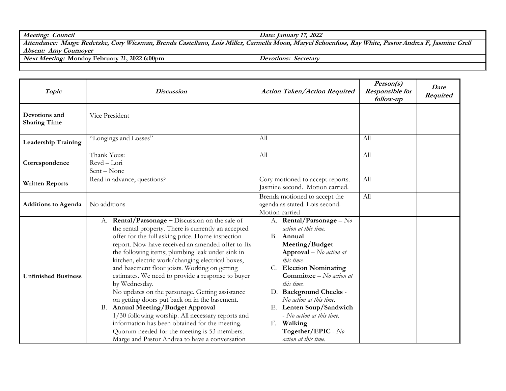| Meeting: Council                                     | Date: January 17, 2022                                                                                                                                |  |  |
|------------------------------------------------------|-------------------------------------------------------------------------------------------------------------------------------------------------------|--|--|
|                                                      | Attendance: Marge Redetzke, Cory Wiesman, Brenda Castellano, Lois Miller, Carmella Moon, Maryel Schoenfuss, Ray White, Pastor Andrea F, Jasmine Grell |  |  |
| <i><b>Absent: Amy Cournover</b></i>                  |                                                                                                                                                       |  |  |
| <i>Next Meeting:</i> Monday February 21, 2022 6:00pm | <i>Devotions: Secretary</i>                                                                                                                           |  |  |

| Topic                                | <b>Discussion</b>                                                                                                                                                                                                                                                                                                                                                                                                                                                                                                                                                                                                                                                                                                                                                                                 | <b>Action Taken/Action Required</b>                                                                                                                                                                                                                                                                                                                                                                                | Person(s)<br><b>Responsible for</b><br>follow-up | Date<br>Required |
|--------------------------------------|---------------------------------------------------------------------------------------------------------------------------------------------------------------------------------------------------------------------------------------------------------------------------------------------------------------------------------------------------------------------------------------------------------------------------------------------------------------------------------------------------------------------------------------------------------------------------------------------------------------------------------------------------------------------------------------------------------------------------------------------------------------------------------------------------|--------------------------------------------------------------------------------------------------------------------------------------------------------------------------------------------------------------------------------------------------------------------------------------------------------------------------------------------------------------------------------------------------------------------|--------------------------------------------------|------------------|
| Devotions and<br><b>Sharing Time</b> | Vice President                                                                                                                                                                                                                                                                                                                                                                                                                                                                                                                                                                                                                                                                                                                                                                                    |                                                                                                                                                                                                                                                                                                                                                                                                                    |                                                  |                  |
| <b>Leadership Training</b>           | "Longings and Losses"                                                                                                                                                                                                                                                                                                                                                                                                                                                                                                                                                                                                                                                                                                                                                                             | All                                                                                                                                                                                                                                                                                                                                                                                                                | All                                              |                  |
| Correspondence                       | Thank Yous:<br>Rcvd - Lori<br>Sent - None                                                                                                                                                                                                                                                                                                                                                                                                                                                                                                                                                                                                                                                                                                                                                         | All                                                                                                                                                                                                                                                                                                                                                                                                                | All                                              |                  |
| <b>Written Reports</b>               | Read in advance, questions?                                                                                                                                                                                                                                                                                                                                                                                                                                                                                                                                                                                                                                                                                                                                                                       | Cory motioned to accept reports.<br>Jasmine second. Motion carried.                                                                                                                                                                                                                                                                                                                                                | All                                              |                  |
| <b>Additions to Agenda</b>           | No additions                                                                                                                                                                                                                                                                                                                                                                                                                                                                                                                                                                                                                                                                                                                                                                                      | Brenda motioned to accept the<br>agenda as stated. Lois second.<br>Motion carried                                                                                                                                                                                                                                                                                                                                  | All                                              |                  |
| <b>Unfinished Business</b>           | A. Rental/Parsonage - Discussion on the sale of<br>the rental property. There is currently an accepted<br>offer for the full asking price. Home inspection<br>report. Now have received an amended offer to fix<br>the following items; plumbing leak under sink in<br>kitchen, electric work/changing electrical boxes,<br>and basement floor joists. Working on getting<br>estimates. We need to provide a response to buyer<br>by Wednesday.<br>No updates on the parsonage. Getting assistance<br>on getting doors put back on in the basement.<br>B. Annual Meeting/Budget Approval<br>1/30 following worship. All necessary reports and<br>information has been obtained for the meeting.<br>Quorum needed for the meeting is 53 members.<br>Marge and Pastor Andrea to have a conversation | A. Rental/Parsonage - $N_{0}$<br>action at this time.<br>B. Annual<br>Meeting/Budget<br><b>Approval</b> – No action at<br>this time.<br>C. Election Nominating<br><b>Committee</b> $-$ <i>No action at</i><br>this time.<br>D. Background Checks -<br>No action at this time.<br>E. Lenten Soup/Sandwich<br>- No action at this time.<br>Walking<br>$F_{\cdot}$<br>Together/EPIC - $N_{0}$<br>action at this time. |                                                  |                  |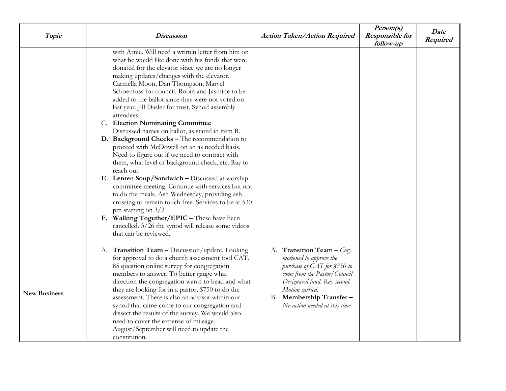| Topic               | <i><b>Discussion</b></i>                                                                                                                                                                                                                                                                                                                                                                                                                                                                                                                                                                                                                                                                                                                                                                                                                                                                                                                                                                                                                                                                                  | <b>Action Taken/Action Required</b>                                                                                                                                                                                                     | Person(s)<br><b>Responsible for</b><br>follow-up | Date<br>Required |
|---------------------|-----------------------------------------------------------------------------------------------------------------------------------------------------------------------------------------------------------------------------------------------------------------------------------------------------------------------------------------------------------------------------------------------------------------------------------------------------------------------------------------------------------------------------------------------------------------------------------------------------------------------------------------------------------------------------------------------------------------------------------------------------------------------------------------------------------------------------------------------------------------------------------------------------------------------------------------------------------------------------------------------------------------------------------------------------------------------------------------------------------|-----------------------------------------------------------------------------------------------------------------------------------------------------------------------------------------------------------------------------------------|--------------------------------------------------|------------------|
|                     | with Arnie. Will need a written letter from him on<br>what he would like done with his funds that were<br>donated for the elevator since we are no longer<br>making updates/changes with the elevator.<br>Carmella Moon, Dan Thompson, Maryel<br>Schoenfuss for council. Robin and Jasmine to be<br>added to the ballot since they were not voted on<br>last year. Jill Dasler for trust. Synod assembly<br>attendees.<br>C. Election Nominating Committee<br>Discussed names on ballot, as stated in item B.<br>D. Background Checks - The recommendation to<br>proceed with McDowell on an as needed basis.<br>Need to figure out if we need to contract with<br>them, what level of background check, etc. Ray to<br>reach out.<br>E. Lenten Soup/Sandwich - Discussed at worship<br>committee meeting. Continue with services but not<br>to do the meals. Ash Wednesday, providing ash<br>crossing to remain touch free. Services to be at 530<br>pm starting on $3/2$<br>F. Walking Together/EPIC - These have been<br>cancelled. $3/26$ the synod will release some videos<br>that can be reviewed. |                                                                                                                                                                                                                                         |                                                  |                  |
| <b>New Business</b> | A. Transition Team - Discussion/update. Looking<br>for approval to do a church assessment tool CAT.<br>85 question online survey for congregation<br>members to answer. To better gauge what<br>direction the congregation wants to head and what<br>they are looking for in a pastor. \$750 to do the<br>assessment. There is also an advisor within our<br>synod that came come to our congregation and<br>dissect the results of the survey. We would also<br>need to cover the expense of mileage.<br>August/September will need to update the<br>constitution.                                                                                                                                                                                                                                                                                                                                                                                                                                                                                                                                       | A. Transition Team - Cory<br>motioned to approve the<br>purchase of CAT for \$750 to<br>come from the Pastor/Council<br>Designated fund. Ray second.<br>Motion carried.<br>Membership Transfer-<br>В.<br>No action needed at this time. |                                                  |                  |